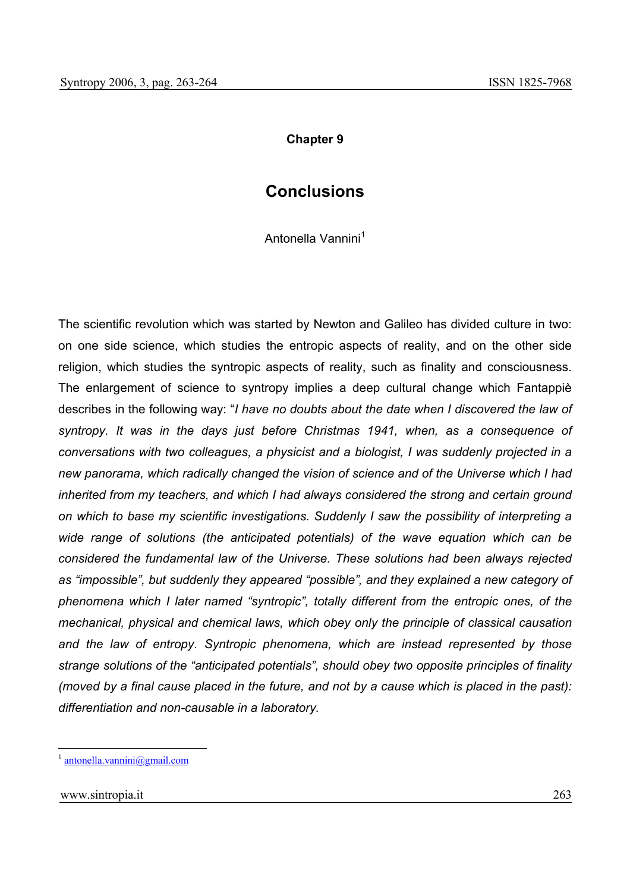## **Chapter 9**

## **Conclusions**

Antonella Vannini<sup>1</sup>

The scientific revolution which was started by Newton and Galileo has divided culture in two: on one side science, which studies the entropic aspects of reality, and on the other side religion, which studies the syntropic aspects of reality, such as finality and consciousness. The enlargement of science to syntropy implies a deep cultural change which Fantappiè describes in the following way: "*I have no doubts about the date when I discovered the law of syntropy. It was in the days just before Christmas 1941, when, as a consequence of conversations with two colleagues, a physicist and a biologist, I was suddenly projected in a new panorama, which radically changed the vision of science and of the Universe which I had inherited from my teachers, and which I had always considered the strong and certain ground on which to base my scientific investigations. Suddenly I saw the possibility of interpreting a wide range of solutions (the anticipated potentials) of the wave equation which can be considered the fundamental law of the Universe. These solutions had been always rejected as "impossible", but suddenly they appeared "possible", and they explained a new category of phenomena which I later named "syntropic", totally different from the entropic ones, of the mechanical, physical and chemical laws, which obey only the principle of classical causation and the law of entropy. Syntropic phenomena, which are instead represented by those strange solutions of the "anticipated potentials", should obey two opposite principles of finality (moved by a final cause placed in the future, and not by a cause which is placed in the past): differentiation and non-causable in a laboratory.* 

 $antonella.vannini@gmail.com$ 

www.sintropia.it 263